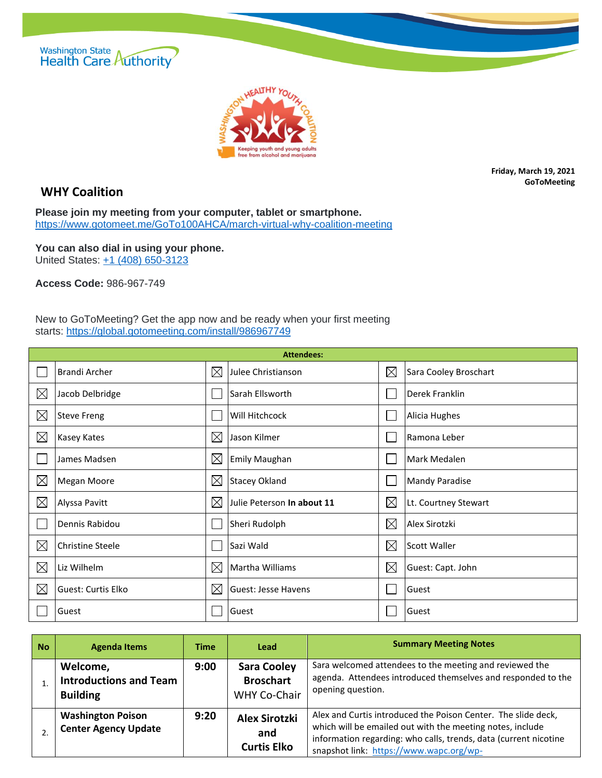



## **WHY Coalition**

**Friday, March 19, 2021 GoToMeeting**

**Please join my meeting from your computer, tablet or smartphone.** <https://www.gotomeet.me/GoTo100AHCA/march-virtual-why-coalition-meeting>

**You can also dial in using your phone.** United States: [+1 \(408\) 650-3123](tel:+14086503123,,986967749)

**Access Code:** 986-967-749

New to GoToMeeting? Get the app now and be ready when your first meeting starts: <https://global.gotomeeting.com/install/986967749>

| <b>Attendees:</b> |                         |             |                            |             |                       |  |
|-------------------|-------------------------|-------------|----------------------------|-------------|-----------------------|--|
|                   | Brandi Archer           | $\boxtimes$ | Julee Christianson         | $\boxtimes$ | Sara Cooley Broschart |  |
| $\boxtimes$       | Jacob Delbridge         |             | Sarah Ellsworth            |             | Derek Franklin        |  |
| $\boxtimes$       | <b>Steve Freng</b>      |             | Will Hitchcock             |             | Alicia Hughes         |  |
| $\boxtimes$       | Kasey Kates             | $\boxtimes$ | Jason Kilmer               |             | Ramona Leber          |  |
|                   | James Madsen            | $\boxtimes$ | <b>Emily Maughan</b>       |             | Mark Medalen          |  |
| $\boxtimes$       | <b>Megan Moore</b>      | $\boxtimes$ | <b>Stacey Okland</b>       |             | <b>Mandy Paradise</b> |  |
| $\boxtimes$       | Alyssa Pavitt           | $\boxtimes$ | Julie Peterson In about 11 | $\boxtimes$ | Lt. Courtney Stewart  |  |
|                   | Dennis Rabidou          |             | Sheri Rudolph              | $\times$    | Alex Sirotzki         |  |
| $\boxtimes$       | <b>Christine Steele</b> |             | Sazi Wald                  | $\boxtimes$ | <b>Scott Waller</b>   |  |
| $\boxtimes$       | Liz Wilhelm             | $\boxtimes$ | Martha Williams            | $\boxtimes$ | Guest: Capt. John     |  |
| $\boxtimes$       | Guest: Curtis Elko      | $\boxtimes$ | Guest: Jesse Havens        |             | Guest                 |  |
|                   | Guest                   |             | Guest                      |             | Guest                 |  |

| <b>No</b> | <b>Agenda Items</b>                                          | Time | <b>Lead</b>                                            | <b>Summary Meeting Notes</b>                                                                                                                                                                                                              |
|-----------|--------------------------------------------------------------|------|--------------------------------------------------------|-------------------------------------------------------------------------------------------------------------------------------------------------------------------------------------------------------------------------------------------|
|           | Welcome,<br><b>Introductions and Team</b><br><b>Building</b> | 9:00 | <b>Sara Cooley</b><br><b>Broschart</b><br>WHY Co-Chair | Sara welcomed attendees to the meeting and reviewed the<br>agenda. Attendees introduced themselves and responded to the<br>opening question.                                                                                              |
|           | <b>Washington Poison</b><br><b>Center Agency Update</b>      | 9:20 | <b>Alex Sirotzki</b><br>and<br><b>Curtis Elko</b>      | Alex and Curtis introduced the Poison Center. The slide deck,<br>which will be emailed out with the meeting notes, include<br>information regarding: who calls, trends, data (current nicotine<br>snapshot link: https://www.wapc.org/wp- |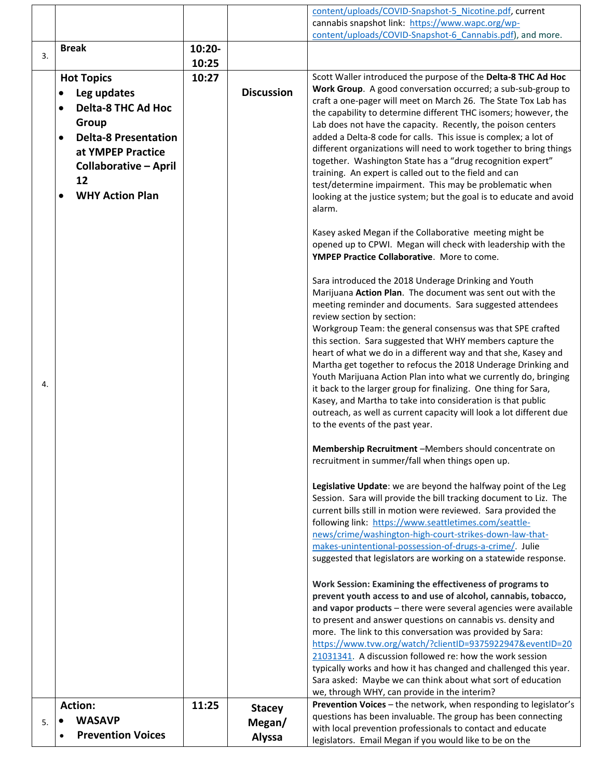|    |                              |        |                   | content/uploads/COVID-Snapshot-5 Nicotine.pdf, current                                                                     |
|----|------------------------------|--------|-------------------|----------------------------------------------------------------------------------------------------------------------------|
|    |                              |        |                   | cannabis snapshot link: https://www.wapc.org/wp-                                                                           |
|    |                              |        |                   | content/uploads/COVID-Snapshot-6 Cannabis.pdf), and more.                                                                  |
|    | <b>Break</b>                 | 10:20- |                   |                                                                                                                            |
| 3. |                              | 10:25  |                   |                                                                                                                            |
|    |                              |        |                   |                                                                                                                            |
|    | <b>Hot Topics</b>            | 10:27  |                   | Scott Waller introduced the purpose of the Delta-8 THC Ad Hoc                                                              |
|    | Leg updates                  |        | <b>Discussion</b> | Work Group. A good conversation occurred; a sub-sub-group to                                                               |
|    | <b>Delta-8 THC Ad Hoc</b>    |        |                   | craft a one-pager will meet on March 26. The State Tox Lab has                                                             |
|    |                              |        |                   | the capability to determine different THC isomers; however, the                                                            |
|    | Group                        |        |                   | Lab does not have the capacity. Recently, the poison centers                                                               |
|    | <b>Delta-8 Presentation</b>  |        |                   | added a Delta-8 code for calls. This issue is complex; a lot of                                                            |
|    | at YMPEP Practice            |        |                   | different organizations will need to work together to bring things                                                         |
|    | <b>Collaborative - April</b> |        |                   | together. Washington State has a "drug recognition expert"                                                                 |
|    | 12                           |        |                   | training. An expert is called out to the field and can                                                                     |
|    | <b>WHY Action Plan</b>       |        |                   | test/determine impairment. This may be problematic when                                                                    |
|    |                              |        |                   | looking at the justice system; but the goal is to educate and avoid                                                        |
|    |                              |        |                   | alarm.                                                                                                                     |
|    |                              |        |                   |                                                                                                                            |
|    |                              |        |                   | Kasey asked Megan if the Collaborative meeting might be                                                                    |
|    |                              |        |                   | opened up to CPWI. Megan will check with leadership with the                                                               |
|    |                              |        |                   | YMPEP Practice Collaborative. More to come.                                                                                |
|    |                              |        |                   |                                                                                                                            |
|    |                              |        |                   | Sara introduced the 2018 Underage Drinking and Youth                                                                       |
|    |                              |        |                   | Marijuana Action Plan. The document was sent out with the                                                                  |
|    |                              |        |                   | meeting reminder and documents. Sara suggested attendees                                                                   |
|    |                              |        |                   | review section by section:                                                                                                 |
|    |                              |        |                   | Workgroup Team: the general consensus was that SPE crafted                                                                 |
|    |                              |        |                   | this section. Sara suggested that WHY members capture the                                                                  |
|    |                              |        |                   | heart of what we do in a different way and that she, Kasey and                                                             |
|    |                              |        |                   | Martha get together to refocus the 2018 Underage Drinking and                                                              |
| 4. |                              |        |                   | Youth Marijuana Action Plan into what we currently do, bringing                                                            |
|    |                              |        |                   | it back to the larger group for finalizing. One thing for Sara,                                                            |
|    |                              |        |                   | Kasey, and Martha to take into consideration is that public                                                                |
|    |                              |        |                   | outreach, as well as current capacity will look a lot different due<br>to the events of the past year.                     |
|    |                              |        |                   |                                                                                                                            |
|    |                              |        |                   |                                                                                                                            |
|    |                              |        |                   | Membership Recruitment -Members should concentrate on<br>recruitment in summer/fall when things open up.                   |
|    |                              |        |                   |                                                                                                                            |
|    |                              |        |                   |                                                                                                                            |
|    |                              |        |                   | Legislative Update: we are beyond the halfway point of the Leg                                                             |
|    |                              |        |                   | Session. Sara will provide the bill tracking document to Liz. The                                                          |
|    |                              |        |                   | current bills still in motion were reviewed. Sara provided the                                                             |
|    |                              |        |                   | following link: https://www.seattletimes.com/seattle-<br>news/crime/washington-high-court-strikes-down-law-that-           |
|    |                              |        |                   | makes-unintentional-possession-of-drugs-a-crime/. Julie                                                                    |
|    |                              |        |                   | suggested that legislators are working on a statewide response.                                                            |
|    |                              |        |                   |                                                                                                                            |
|    |                              |        |                   |                                                                                                                            |
|    |                              |        |                   | Work Session: Examining the effectiveness of programs to<br>prevent youth access to and use of alcohol, cannabis, tobacco, |
|    |                              |        |                   | and vapor products - there were several agencies were available                                                            |
|    |                              |        |                   | to present and answer questions on cannabis vs. density and                                                                |
|    |                              |        |                   | more. The link to this conversation was provided by Sara:                                                                  |
|    |                              |        |                   | https://www.tvw.org/watch/?clientID=9375922947&eventID=20                                                                  |
|    |                              |        |                   | 21031341. A discussion followed re: how the work session                                                                   |
|    |                              |        |                   | typically works and how it has changed and challenged this year.                                                           |
|    |                              |        |                   | Sara asked: Maybe we can think about what sort of education                                                                |
|    |                              |        |                   | we, through WHY, can provide in the interim?                                                                               |
|    |                              |        |                   | Prevention Voices - the network, when responding to legislator's                                                           |
|    | <b>Action:</b>               | 11:25  | <b>Stacey</b>     | questions has been invaluable. The group has been connecting                                                               |
| 5. | <b>WASAVP</b>                |        | Megan/            | with local prevention professionals to contact and educate                                                                 |
|    | <b>Prevention Voices</b>     |        | Alyssa            | legislators. Email Megan if you would like to be on the                                                                    |
|    |                              |        |                   |                                                                                                                            |